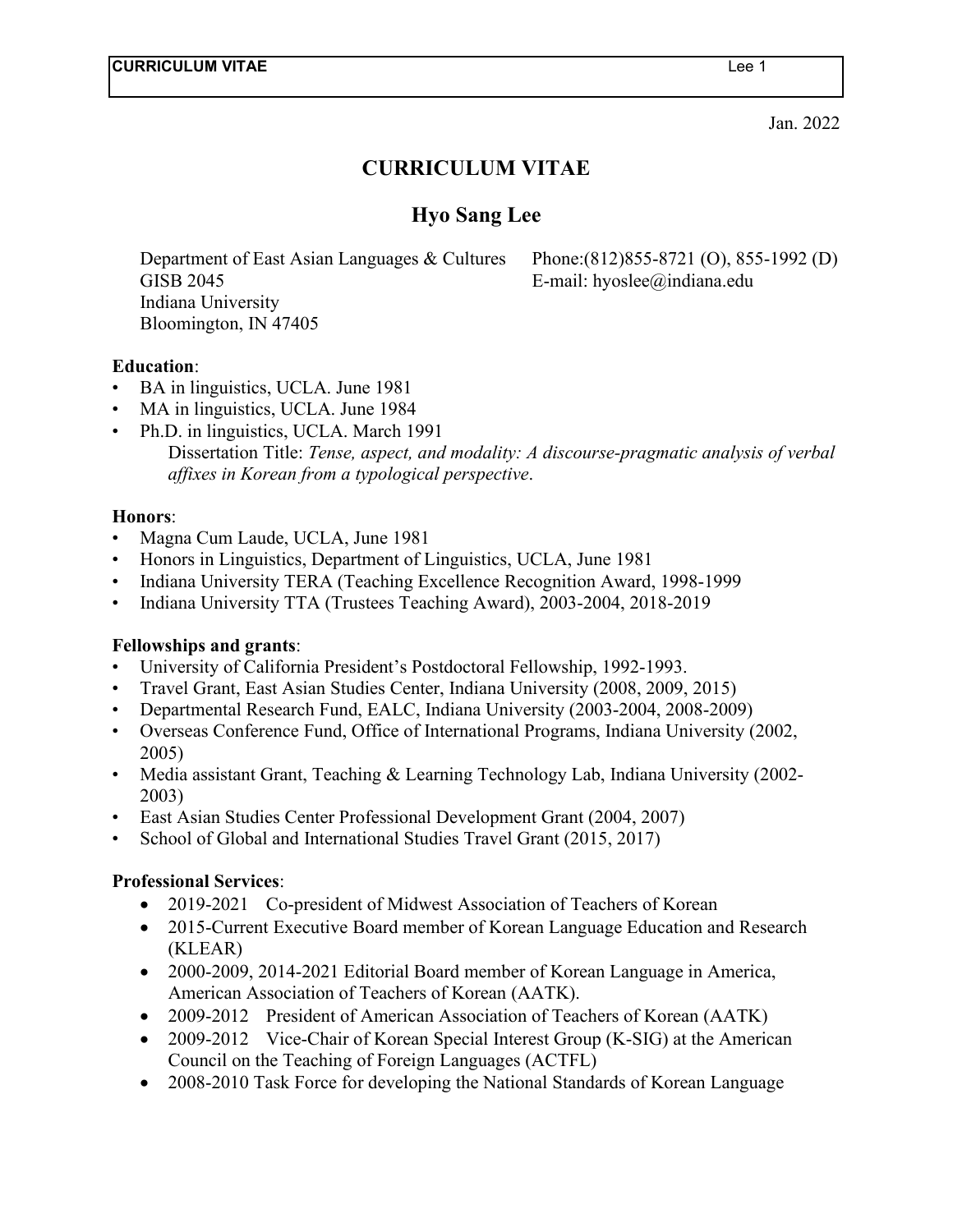Jan. 2022

# **CURRICULUM VITAE**

# **Hyo Sang Lee**

Department of East Asian Languages & Cultures Phone:(812)855-8721 (O), 855-1992 (D) GISB 2045 **E-mail:** hyoslee@indiana.edu Indiana University Bloomington, IN 47405

### **Education**:

- BA in linguistics, UCLA. June 1981
- MA in linguistics, UCLA. June 1984
- Ph.D. in linguistics, UCLA. March 1991 Dissertation Title: *Tense, aspect, and modality: A discourse-pragmatic analysis of verbal affixes in Korean from a typological perspective*.

### **Honors**:

- Magna Cum Laude, UCLA, June 1981
- Honors in Linguistics, Department of Linguistics, UCLA, June 1981
- Indiana University TERA (Teaching Excellence Recognition Award, 1998-1999
- Indiana University TTA (Trustees Teaching Award), 2003-2004, 2018-2019

### **Fellowships and grants**:

- University of California President's Postdoctoral Fellowship, 1992-1993.
- Travel Grant, East Asian Studies Center, Indiana University (2008, 2009, 2015)
- Departmental Research Fund, EALC, Indiana University (2003-2004, 2008-2009)
- Overseas Conference Fund, Office of International Programs, Indiana University (2002, 2005)
- Media assistant Grant, Teaching & Learning Technology Lab, Indiana University (2002-2003)
- East Asian Studies Center Professional Development Grant (2004, 2007)
- School of Global and International Studies Travel Grant (2015, 2017)

### **Professional Services**:

- 2019-2021 Co-president of Midwest Association of Teachers of Korean
- 2015-Current Executive Board member of Korean Language Education and Research (KLEAR)
- 2000-2009, 2014-2021 Editorial Board member of Korean Language in America, American Association of Teachers of Korean (AATK).
- 2009-2012 President of American Association of Teachers of Korean (AATK)
- 2009-2012 Vice-Chair of Korean Special Interest Group (K-SIG) at the American Council on the Teaching of Foreign Languages (ACTFL)
- 2008-2010 Task Force for developing the National Standards of Korean Language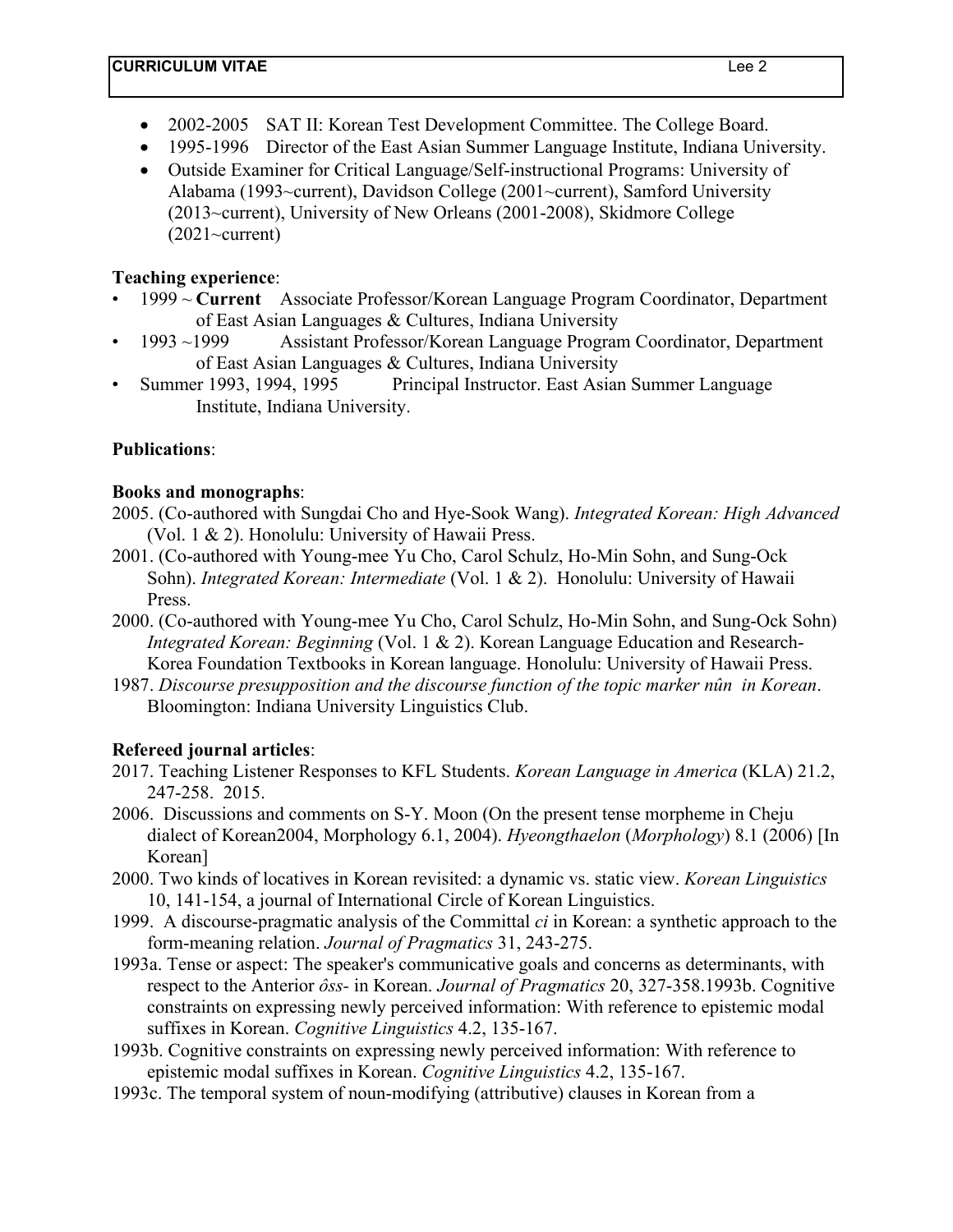- 2002-2005 SAT II: Korean Test Development Committee. The College Board.
- 1995-1996 Director of the East Asian Summer Language Institute, Indiana University.
- Outside Examiner for Critical Language/Self-instructional Programs: University of Alabama (1993~current), Davidson College (2001~current), Samford University (2013~current), University of New Orleans (2001-2008), Skidmore College  $(2021 \sim$ current)

### **Teaching experience**:

- 1999 ~ **Current** Associate Professor/Korean Language Program Coordinator, Department of East Asian Languages & Cultures, Indiana University
- 1993 ~1999 Assistant Professor/Korean Language Program Coordinator, Department of East Asian Languages & Cultures, Indiana University
- Summer 1993, 1994, 1995 Principal Instructor. East Asian Summer Language Institute, Indiana University.

# **Publications**:

### **Books and monographs**:

- 2005. (Co-authored with Sungdai Cho and Hye-Sook Wang). *Integrated Korean: High Advanced* (Vol. 1 & 2). Honolulu: University of Hawaii Press.
- 2001. (Co-authored with Young-mee Yu Cho, Carol Schulz, Ho-Min Sohn, and Sung-Ock Sohn). *Integrated Korean: Intermediate* (Vol. 1 & 2). Honolulu: University of Hawaii Press.
- 2000. (Co-authored with Young-mee Yu Cho, Carol Schulz, Ho-Min Sohn, and Sung-Ock Sohn) *Integrated Korean: Beginning* (Vol. 1 & 2). Korean Language Education and Research-Korea Foundation Textbooks in Korean language. Honolulu: University of Hawaii Press.
- 1987. *Discourse presupposition and the discourse function of the topic marker nûn in Korean*. Bloomington: Indiana University Linguistics Club.

# **Refereed journal articles**:

- 2017. Teaching Listener Responses to KFL Students. *Korean Language in America* (KLA) 21.2, 247-258. 2015.
- 2006. Discussions and comments on S-Y. Moon (On the present tense morpheme in Cheju dialect of Korean2004, Morphology 6.1, 2004). *Hyeongthaelon* (*Morphology*) 8.1 (2006) [In Korean]
- 2000. Two kinds of locatives in Korean revisited: a dynamic vs. static view. *Korean Linguistics* 10, 141-154, a journal of International Circle of Korean Linguistics.
- 1999. A discourse-pragmatic analysis of the Committal *ci* in Korean: a synthetic approach to the form-meaning relation. *Journal of Pragmatics* 31, 243-275.
- 1993a. Tense or aspect: The speaker's communicative goals and concerns as determinants, with respect to the Anterior *ôss-* in Korean. *Journal of Pragmatics* 20, 327-358.1993b. Cognitive constraints on expressing newly perceived information: With reference to epistemic modal suffixes in Korean. *Cognitive Linguistics* 4.2, 135-167.
- 1993b. Cognitive constraints on expressing newly perceived information: With reference to epistemic modal suffixes in Korean. *Cognitive Linguistics* 4.2, 135-167.
- 1993c. The temporal system of noun-modifying (attributive) clauses in Korean from a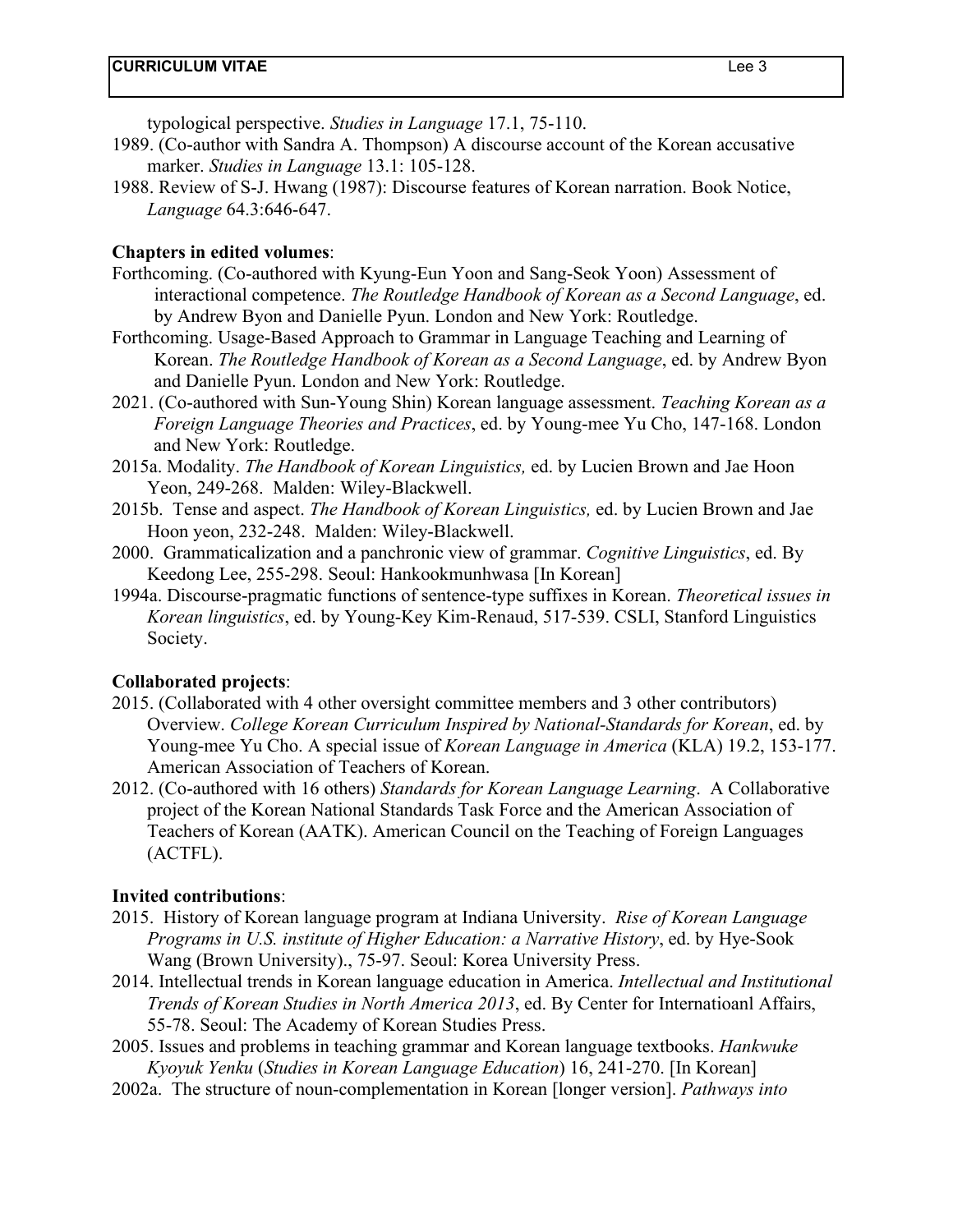typological perspective. *Studies in Language* 17.1, 75-110.

- 1989. (Co-author with Sandra A. Thompson) A discourse account of the Korean accusative marker. *Studies in Language* 13.1: 105-128.
- 1988. Review of S-J. Hwang (1987): Discourse features of Korean narration. Book Notice, *Language* 64.3:646-647.

### **Chapters in edited volumes**:

- Forthcoming. (Co-authored with Kyung-Eun Yoon and Sang-Seok Yoon) Assessment of interactional competence. *The Routledge Handbook of Korean as a Second Language*, ed. by Andrew Byon and Danielle Pyun. London and New York: Routledge.
- Forthcoming. Usage-Based Approach to Grammar in Language Teaching and Learning of Korean. *The Routledge Handbook of Korean as a Second Language*, ed. by Andrew Byon and Danielle Pyun. London and New York: Routledge.
- 2021. (Co-authored with Sun-Young Shin) Korean language assessment. *Teaching Korean as a Foreign Language Theories and Practices*, ed. by Young-mee Yu Cho, 147-168. London and New York: Routledge.
- 2015a. Modality. *The Handbook of Korean Linguistics,* ed. by Lucien Brown and Jae Hoon Yeon, 249-268. Malden: Wiley-Blackwell.
- 2015b. Tense and aspect. *The Handbook of Korean Linguistics,* ed. by Lucien Brown and Jae Hoon yeon, 232-248. Malden: Wiley-Blackwell.
- 2000. Grammaticalization and a panchronic view of grammar. *Cognitive Linguistics*, ed. By Keedong Lee, 255-298. Seoul: Hankookmunhwasa [In Korean]
- 1994a. Discourse-pragmatic functions of sentence-type suffixes in Korean. *Theoretical issues in Korean linguistics*, ed. by Young-Key Kim-Renaud, 517-539. CSLI, Stanford Linguistics Society.

### **Collaborated projects**:

- 2015. (Collaborated with 4 other oversight committee members and 3 other contributors) Overview. *College Korean Curriculum Inspired by National-Standards for Korean*, ed. by Young-mee Yu Cho. A special issue of *Korean Language in America* (KLA) 19.2, 153-177. American Association of Teachers of Korean.
- 2012. (Co-authored with 16 others) *Standards for Korean Language Learning*. A Collaborative project of the Korean National Standards Task Force and the American Association of Teachers of Korean (AATK). American Council on the Teaching of Foreign Languages (ACTFL).

### **Invited contributions**:

- 2015. History of Korean language program at Indiana University. *Rise of Korean Language Programs in U.S. institute of Higher Education: a Narrative History*, ed. by Hye-Sook Wang (Brown University)., 75-97. Seoul: Korea University Press.
- 2014. Intellectual trends in Korean language education in America. *Intellectual and Institutional Trends of Korean Studies in North America 2013*, ed. By Center for Internatioanl Affairs, 55-78. Seoul: The Academy of Korean Studies Press.
- 2005. Issues and problems in teaching grammar and Korean language textbooks. *Hankwuke Kyoyuk Yenku* (*Studies in Korean Language Education*) 16, 241-270. [In Korean]
- 2002a. The structure of noun-complementation in Korean [longer version]. *Pathways into*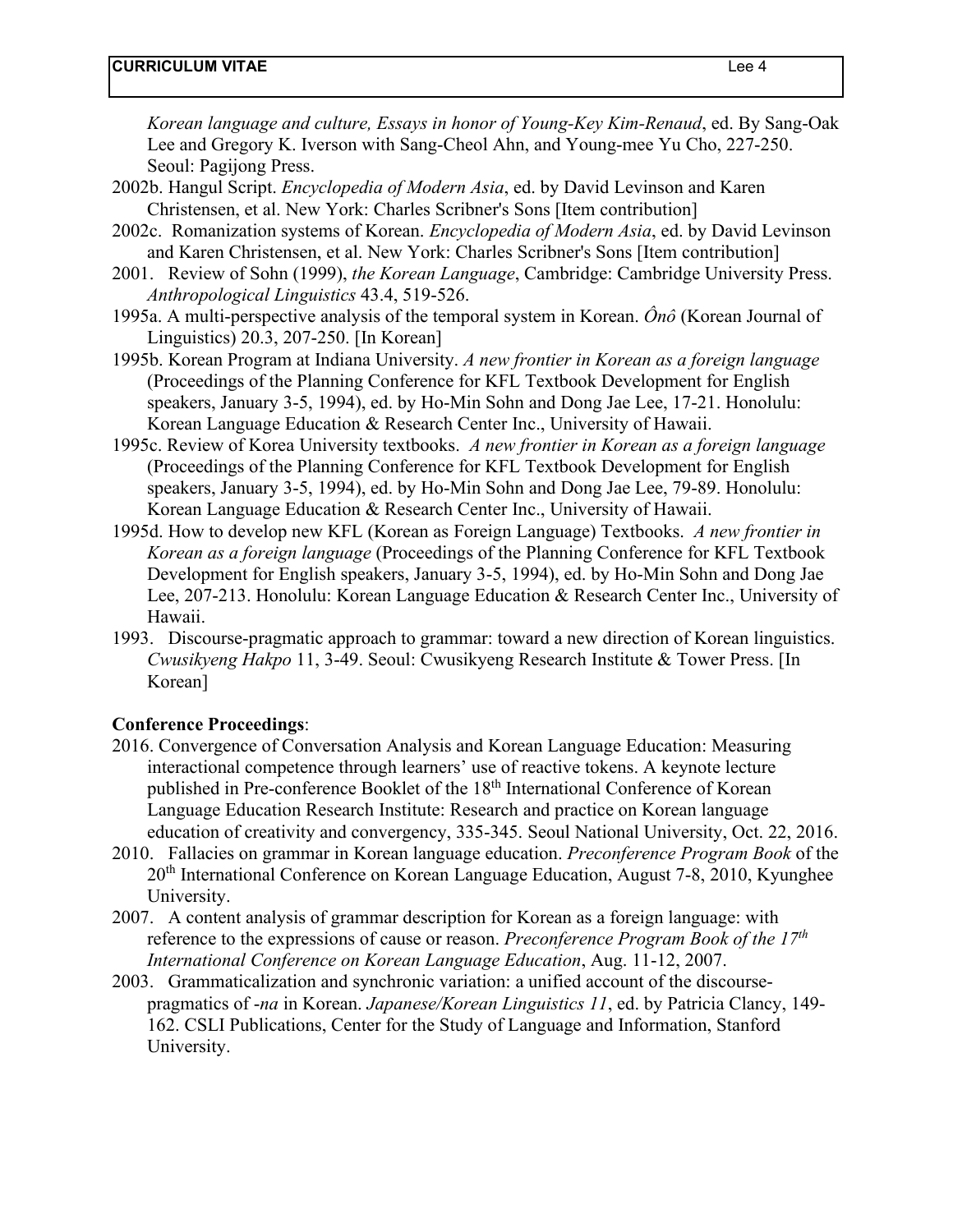*Korean language and culture, Essays in honor of Young-Key Kim-Renaud*, ed. By Sang-Oak Lee and Gregory K. Iverson with Sang-Cheol Ahn, and Young-mee Yu Cho, 227-250. Seoul: Pagijong Press.

- 2002b. Hangul Script. *Encyclopedia of Modern Asia*, ed. by David Levinson and Karen Christensen, et al. New York: Charles Scribner's Sons [Item contribution]
- 2002c. Romanization systems of Korean. *Encyclopedia of Modern Asia*, ed. by David Levinson and Karen Christensen, et al. New York: Charles Scribner's Sons [Item contribution]
- 2001. Review of Sohn (1999), *the Korean Language*, Cambridge: Cambridge University Press. *Anthropological Linguistics* 43.4, 519-526.
- 1995a. A multi-perspective analysis of the temporal system in Korean. *Ônô* (Korean Journal of Linguistics) 20.3, 207-250. [In Korean]
- 1995b. Korean Program at Indiana University. *A new frontier in Korean as a foreign language* (Proceedings of the Planning Conference for KFL Textbook Development for English speakers, January 3-5, 1994), ed. by Ho-Min Sohn and Dong Jae Lee, 17-21. Honolulu: Korean Language Education & Research Center Inc., University of Hawaii.
- 1995c. Review of Korea University textbooks. *A new frontier in Korean as a foreign language* (Proceedings of the Planning Conference for KFL Textbook Development for English speakers, January 3-5, 1994), ed. by Ho-Min Sohn and Dong Jae Lee, 79-89. Honolulu: Korean Language Education & Research Center Inc., University of Hawaii.
- 1995d. How to develop new KFL (Korean as Foreign Language) Textbooks. *A new frontier in Korean as a foreign language* (Proceedings of the Planning Conference for KFL Textbook Development for English speakers, January 3-5, 1994), ed. by Ho-Min Sohn and Dong Jae Lee, 207-213. Honolulu: Korean Language Education & Research Center Inc., University of Hawaii.
- 1993. Discourse-pragmatic approach to grammar: toward a new direction of Korean linguistics. *Cwusikyeng Hakpo* 11, 3-49. Seoul: Cwusikyeng Research Institute & Tower Press. [In Korean]

### **Conference Proceedings**:

- 2016. Convergence of Conversation Analysis and Korean Language Education: Measuring interactional competence through learners' use of reactive tokens. A keynote lecture published in Pre-conference Booklet of the 18th International Conference of Korean Language Education Research Institute: Research and practice on Korean language education of creativity and convergency, 335-345. Seoul National University, Oct. 22, 2016.
- 2010. Fallacies on grammar in Korean language education. *Preconference Program Book* of the 20th International Conference on Korean Language Education, August 7-8, 2010, Kyunghee University.
- 2007. A content analysis of grammar description for Korean as a foreign language: with reference to the expressions of cause or reason. *Preconference Program Book of the 17th International Conference on Korean Language Education*, Aug. 11-12, 2007.
- 2003. Grammaticalization and synchronic variation: a unified account of the discoursepragmatics of -*na* in Korean. *Japanese/Korean Linguistics 11*, ed. by Patricia Clancy, 149- 162. CSLI Publications, Center for the Study of Language and Information, Stanford University.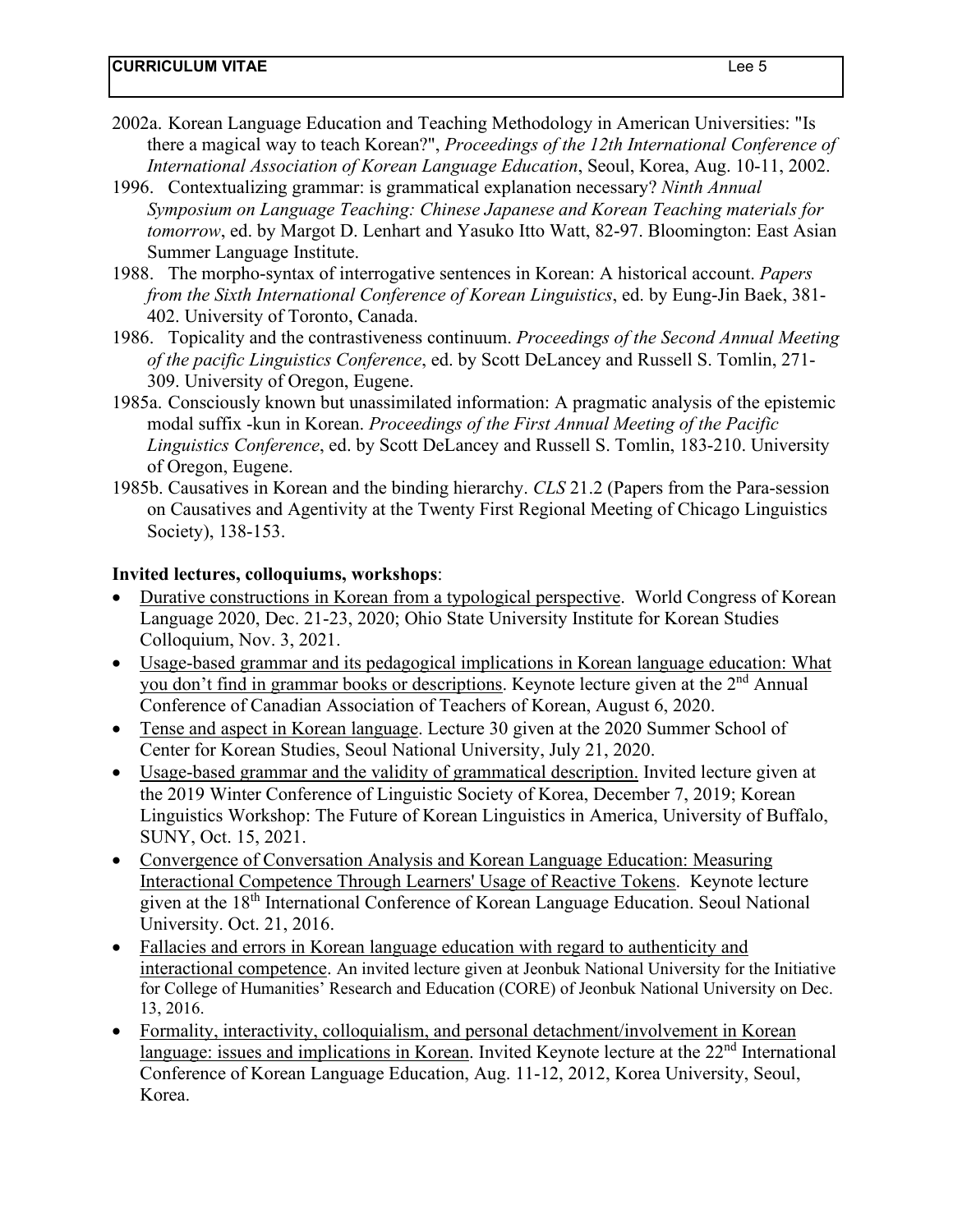- 2002a. Korean Language Education and Teaching Methodology in American Universities: "Is there a magical way to teach Korean?", *Proceedings of the 12th International Conference of International Association of Korean Language Education*, Seoul, Korea, Aug. 10-11, 2002.
- 1996. Contextualizing grammar: is grammatical explanation necessary? *Ninth Annual Symposium on Language Teaching: Chinese Japanese and Korean Teaching materials for tomorrow*, ed. by Margot D. Lenhart and Yasuko Itto Watt, 82-97. Bloomington: East Asian Summer Language Institute.
- 1988. The morpho-syntax of interrogative sentences in Korean: A historical account. *Papers from the Sixth International Conference of Korean Linguistics*, ed. by Eung-Jin Baek, 381- 402. University of Toronto, Canada.
- 1986. Topicality and the contrastiveness continuum. *Proceedings of the Second Annual Meeting of the pacific Linguistics Conference*, ed. by Scott DeLancey and Russell S. Tomlin, 271- 309. University of Oregon, Eugene.
- 1985a. Consciously known but unassimilated information: A pragmatic analysis of the epistemic modal suffix -kun in Korean. *Proceedings of the First Annual Meeting of the Pacific Linguistics Conference*, ed. by Scott DeLancey and Russell S. Tomlin, 183-210. University of Oregon, Eugene.
- 1985b. Causatives in Korean and the binding hierarchy. *CLS* 21.2 (Papers from the Para-session on Causatives and Agentivity at the Twenty First Regional Meeting of Chicago Linguistics Society), 138-153.

### **Invited lectures, colloquiums, workshops**:

- Durative constructions in Korean from a typological perspective. World Congress of Korean Language 2020, Dec. 21-23, 2020; Ohio State University Institute for Korean Studies Colloquium, Nov. 3, 2021.
- Usage-based grammar and its pedagogical implications in Korean language education: What you don't find in grammar books or descriptions. Keynote lecture given at the 2<sup>nd</sup> Annual Conference of Canadian Association of Teachers of Korean, August 6, 2020.
- Tense and aspect in Korean language. Lecture 30 given at the 2020 Summer School of Center for Korean Studies, Seoul National University, July 21, 2020.
- Usage-based grammar and the validity of grammatical description. Invited lecture given at the 2019 Winter Conference of Linguistic Society of Korea, December 7, 2019; Korean Linguistics Workshop: The Future of Korean Linguistics in America, University of Buffalo, SUNY, Oct. 15, 2021.
- Convergence of Conversation Analysis and Korean Language Education: Measuring Interactional Competence Through Learners' Usage of Reactive Tokens. Keynote lecture given at the 18th International Conference of Korean Language Education. Seoul National University. Oct. 21, 2016.
- Fallacies and errors in Korean language education with regard to authenticity and interactional competence. An invited lecture given at Jeonbuk National University for the Initiative for College of Humanities' Research and Education (CORE) of Jeonbuk National University on Dec. 13, 2016.
- Formality, interactivity, colloquialism, and personal detachment/involvement in Korean language: issues and implications in Korean. Invited Keynote lecture at the  $22<sup>nd</sup>$  International Conference of Korean Language Education, Aug. 11-12, 2012, Korea University, Seoul, Korea.